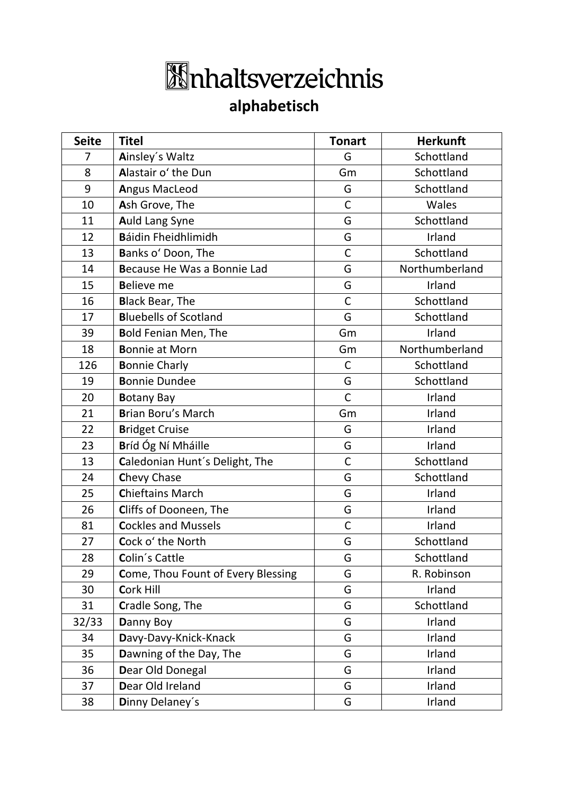## **Inhaltsverzeichnis**

## **alphabetisch**

| <b>Seite</b> | <b>Titel</b>                       | <b>Tonart</b> | <b>Herkunft</b> |
|--------------|------------------------------------|---------------|-----------------|
| 7            | Ainsley's Waltz                    | G             | Schottland      |
| 8            | Alastair o' the Dun                | Gm            | Schottland      |
| 9            | Angus MacLeod                      | G             | Schottland      |
| 10           | Ash Grove, The                     | $\mathsf{C}$  | Wales           |
| 11           | Auld Lang Syne                     | G             | Schottland      |
| 12           | Báidin Fheidhlimidh                | G             | Irland          |
| 13           | Banks o' Doon, The                 | $\mathsf C$   | Schottland      |
| 14           | Because He Was a Bonnie Lad        | G             | Northumberland  |
| 15           | <b>Believe me</b>                  | G             | Irland          |
| 16           | <b>Black Bear, The</b>             | $\mathsf C$   | Schottland      |
| 17           | <b>Bluebells of Scotland</b>       | G             | Schottland      |
| 39           | <b>Bold Fenian Men, The</b>        | Gm            | Irland          |
| 18           | <b>Bonnie at Morn</b>              | Gm            | Northumberland  |
| 126          | <b>Bonnie Charly</b>               | $\mathsf{C}$  | Schottland      |
| 19           | <b>Bonnie Dundee</b>               | G             | Schottland      |
| 20           | <b>Botany Bay</b>                  | $\mathsf{C}$  | Irland          |
| 21           | <b>Brian Boru's March</b>          | Gm            | Irland          |
| 22           | <b>Bridget Cruise</b>              | G             | Irland          |
| 23           | Bríd Óg Ní Mháille                 | G             | Irland          |
| 13           | Caledonian Hunt's Delight, The     | $\mathsf{C}$  | Schottland      |
| 24           | Chevy Chase                        | G             | Schottland      |
| 25           | <b>Chieftains March</b>            | G             | Irland          |
| 26           | Cliffs of Dooneen, The             | G             | Irland          |
| 81           | <b>Cockles and Mussels</b>         | $\mathsf C$   | Irland          |
| 27           | Cock o' the North                  | G             | Schottland      |
| 28           | Colin's Cattle                     | G             | Schottland      |
| 29           | Come, Thou Fount of Every Blessing | G             | R. Robinson     |
| 30           | <b>Cork Hill</b>                   | G             | Irland          |
| 31           | Cradle Song, The                   | G             | Schottland      |
| 32/33        | Danny Boy                          | G             | Irland          |
| 34           | Davy-Davy-Knick-Knack              | G             | Irland          |
| 35           | Dawning of the Day, The            | G             | Irland          |
| 36           | Dear Old Donegal                   | G             | Irland          |
| 37           | Dear Old Ireland                   | G             | Irland          |
| 38           | Dinny Delaney's                    | G             | Irland          |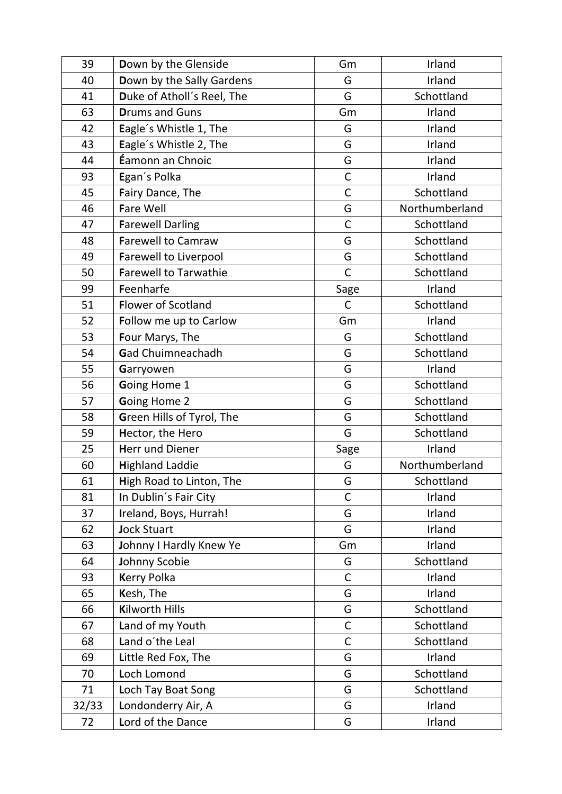| 39    | Down by the Glenside         | Gm           | Irland         |
|-------|------------------------------|--------------|----------------|
| 40    | Down by the Sally Gardens    | G            | Irland         |
| 41    | Duke of Atholl's Reel, The   | G            | Schottland     |
| 63    | <b>Drums and Guns</b>        | Gm           | Irland         |
| 42    | Eagle's Whistle 1, The       | G            | Irland         |
| 43    | Eagle's Whistle 2, The       | G            | Irland         |
| 44    | <b>Éamonn an Chnoic</b>      | G            | Irland         |
| 93    | Egan's Polka                 | $\mathsf C$  | Irland         |
| 45    | Fairy Dance, The             | $\mathsf C$  | Schottland     |
| 46    | <b>Fare Well</b>             | G            | Northumberland |
| 47    | <b>Farewell Darling</b>      | $\mathsf{C}$ | Schottland     |
| 48    | <b>Farewell to Camraw</b>    | G            | Schottland     |
| 49    | <b>Farewell to Liverpool</b> | G            | Schottland     |
| 50    | <b>Farewell to Tarwathie</b> | $\mathsf{C}$ | Schottland     |
| 99    | Feenharfe                    | Sage         | Irland         |
| 51    | <b>Flower of Scotland</b>    | $\mathsf{C}$ | Schottland     |
| 52    | Follow me up to Carlow       | Gm           | Irland         |
| 53    | Four Marys, The              | G            | Schottland     |
| 54    | Gad Chuimneachadh            | G            | Schottland     |
| 55    | Garryowen                    | G            | Irland         |
| 56    | Going Home 1                 | G            | Schottland     |
| 57    | Going Home 2                 | G            | Schottland     |
| 58    | Green Hills of Tyrol, The    | G            | Schottland     |
| 59    | Hector, the Hero             | G            | Schottland     |
| 25    | <b>Herr und Diener</b>       | Sage         | Irland         |
| 60    | <b>Highland Laddie</b>       | G            | Northumberland |
| 61    | High Road to Linton, The     | G            | Schottland     |
| 81    | In Dublin's Fair City        | $\mathsf C$  | Irland         |
| 37    | Ireland, Boys, Hurrah!       | G            | Irland         |
| 62    | <b>Jock Stuart</b>           | G            | Irland         |
| 63    | Johnny I Hardly Knew Ye      | Gm           | Irland         |
| 64    | Johnny Scobie                | G            | Schottland     |
| 93    | <b>Kerry Polka</b>           | $\mathsf{C}$ | Irland         |
| 65    | Kesh, The                    | G            | Irland         |
| 66    | <b>Kilworth Hills</b>        | G            | Schottland     |
| 67    | Land of my Youth             | $\mathsf C$  | Schottland     |
| 68    | Land o'the Leal              | $\mathsf{C}$ | Schottland     |
| 69    | Little Red Fox, The          | G            | Irland         |
| 70    | Loch Lomond                  | G            | Schottland     |
| 71    | Loch Tay Boat Song           | G            | Schottland     |
| 32/33 | Londonderry Air, A           | G            | Irland         |
| 72    | Lord of the Dance            | G            | Irland         |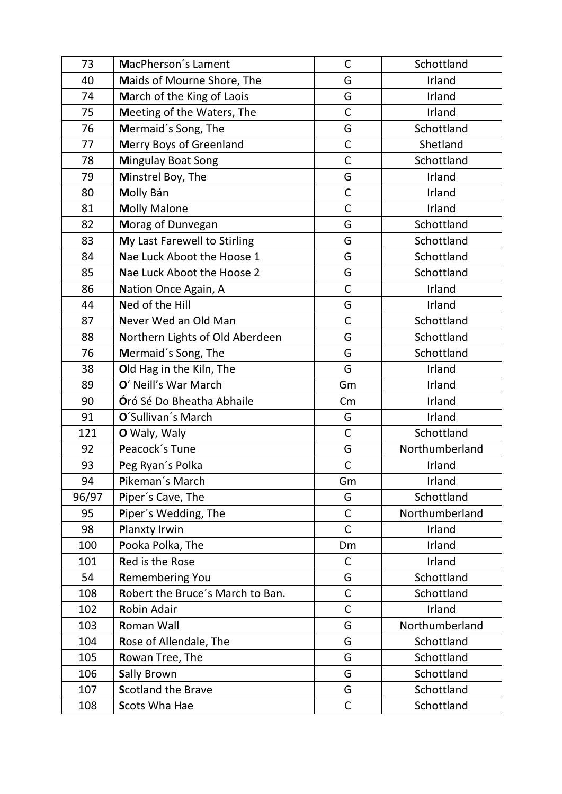| 73    | MacPherson's Lament              | C             | Schottland     |
|-------|----------------------------------|---------------|----------------|
| 40    | Maids of Mourne Shore, The       | G             | Irland         |
| 74    | March of the King of Laois       | G             | Irland         |
| 75    | Meeting of the Waters, The       | $\mathsf C$   | Irland         |
| 76    | Mermaid's Song, The              | G             | Schottland     |
| 77    | Merry Boys of Greenland          | $\mathsf C$   | Shetland       |
| 78    | <b>Mingulay Boat Song</b>        | $\mathsf{C}$  | Schottland     |
| 79    | Minstrel Boy, The                | G             | Irland         |
| 80    | Molly Bán                        | $\mathsf C$   | Irland         |
| 81    | <b>Molly Malone</b>              | $\mathsf{C}$  | Irland         |
| 82    | Morag of Dunvegan                | G             | Schottland     |
| 83    | My Last Farewell to Stirling     | G             | Schottland     |
| 84    | Nae Luck Aboot the Hoose 1       | G             | Schottland     |
| 85    | Nae Luck Aboot the Hoose 2       | G             | Schottland     |
| 86    | Nation Once Again, A             | $\mathsf{C}$  | Irland         |
| 44    | Ned of the Hill                  | G             | Irland         |
| 87    | Never Wed an Old Man             | $\mathsf{C}$  | Schottland     |
| 88    | Northern Lights of Old Aberdeen  | G             | Schottland     |
| 76    | Mermaid's Song, The              | G             | Schottland     |
| 38    | Old Hag in the Kiln, The         | G             | Irland         |
| 89    | O' Neill's War March             | Gm            | Irland         |
| 90    | <b>Óró Sé Do Bheatha Abhaile</b> | $\mathsf{Cm}$ | Irland         |
| 91    | O'Sullivan's March               | G             | Irland         |
| 121   | O Waly, Waly                     | $\mathsf{C}$  | Schottland     |
| 92    | Peacock's Tune                   | G             | Northumberland |
| 93    | Peg Ryan's Polka                 | $\mathsf{C}$  | Irland         |
| 94    | Pikeman's March                  | Gm            | Irland         |
| 96/97 | Piper's Cave, The                | G             | Schottland     |
| 95    | Piper's Wedding, The             | $\mathsf C$   | Northumberland |
| 98    | Planxty Irwin                    | $\mathsf{C}$  | Irland         |
| 100   | Pooka Polka, The                 | Dm            | Irland         |
| 101   | <b>Red is the Rose</b>           | $\mathsf C$   | Irland         |
| 54    | <b>Remembering You</b>           | G             | Schottland     |
| 108   | Robert the Bruce's March to Ban. | C             | Schottland     |
| 102   | <b>Robin Adair</b>               | $\mathsf C$   | Irland         |
| 103   | <b>Roman Wall</b>                | G             | Northumberland |
| 104   | Rose of Allendale, The           | G             | Schottland     |
| 105   | Rowan Tree, The                  | G             | Schottland     |
| 106   | <b>Sally Brown</b>               | G             | Schottland     |
| 107   | <b>Scotland the Brave</b>        | G             | Schottland     |
| 108   | <b>Scots Wha Hae</b>             | $\mathsf C$   | Schottland     |